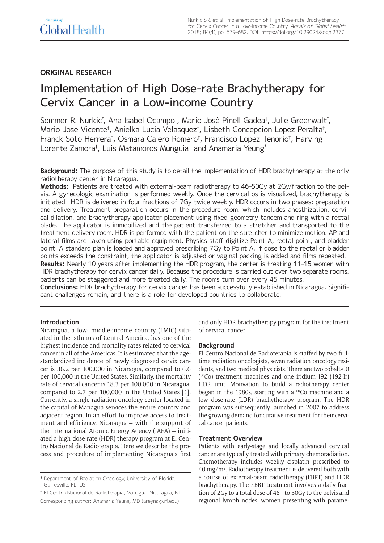# **ORIGINAL RESEARCH**

# Implementation of High Dose-rate Brachytherapy for Cervix Cancer in a Low-income Country

Sommer R. Nurkic\* , Ana Isabel Ocampo† , Mario Josè Pinell Gadea† , Julie Greenwalt\* , Mario Jose Vicente† , Anielka Lucia Velasquez† , Lisbeth Concepcion Lopez Peralta† , Franck Soto Herrera† , Osmara Calero Romero† , Francisco Lopez Tenorio† , Harving Lorente Zamora†, Luis Matamoros Munguia† and Anamaria Yeung\*

**Background:** The purpose of this study is to detail the implementation of HDR brachytherapy at the only radiotherapy center in Nicaragua.

**Methods:** Patients are treated with external-beam radiotherapy to 46–50Gy at 2Gy/fraction to the pelvis. A gynecologic examination is performed weekly. Once the cervical os is visualized, brachytherapy is initiated. HDR is delivered in four fractions of 7Gy twice weekly. HDR occurs in two phases: preparation and delivery. Treatment preparation occurs in the procedure room, which includes anesthization, cervical dilation, and brachytherapy applicator placement using fixed-geometry tandem and ring with a rectal blade. The applicator is immobilized and the patient transferred to a stretcher and transported to the treatment delivery room. HDR is performed with the patient on the stretcher to minimize motion. AP and lateral films are taken using portable equipment. Physics staff digitize Point A, rectal point, and bladder point. A standard plan is loaded and approved prescribing 7Gy to Point A. If dose to the rectal or bladder points exceeds the constraint, the applicator is adjusted or vaginal packing is added and films repeated. **Results:** Nearly 10 years after implementing the HDR program, the center is treating 11–15 women with

HDR brachytherapy for cervix cancer daily. Because the procedure is carried out over two separate rooms, patients can be staggered and more treated daily. The rooms turn over every 45 minutes.

**Conclusions:** HDR brachytherapy for cervix cancer has been successfully established in Nicaragua. Significant challenges remain, and there is a role for developed countries to collaborate.

# **Introduction**

Nicaragua, a low- middle-income country (LMIC) situated in the isthmus of Central America, has one of the highest incidence and mortality rates related to cervical cancer in all of the Americas. It is estimated that the agestandardized incidence of newly diagnosed cervix cancer is 36.2 per 100,000 in Nicaragua, compared to 6.6 per 100,000 in the United States. Similarly, the mortality rate of cervical cancer is 18.3 per 100,000 in Nicaragua, compared to 2.7 per 100,000 in the United States [1]. Currently, a single radiation oncology center located in the capital of Managua services the entire country and adjacent region. In an effort to improve access to treatment and efficiency, Nicaragua – with the support of the International Atomic Energy Agency (IAEA) – initiated a high dose-rate (HDR) therapy program at El Centro Nacional de Radioterapia. Here we describe the process and procedure of implementing Nicaragua's first

† El Centro Nacional de Radioterapia, Managua, Nicaragua, NI Corresponding author: Anamaria Yeung, MD ([areyna@ufl.edu](mailto:areyna@ufl.edu)) and only HDR brachytherapy program for the treatment of cervical cancer.

# **Background**

El Centro Nacional de Radioterapia is staffed by two fulltime radiation oncologists, seven radiation oncology residents, and two medical physicists. There are two cobalt-60 ( 60Co) treatment machines and one iridium-192 (192-Ir) HDR unit. Motivation to build a radiotherapy center began in the 1980s, starting with a  $^{60}$ Co machine and a low dose-rate (LDR) brachytherapy program. The HDR program was subsequently launched in 2007 to address the growing demand for curative treatment for their cervical cancer patients.

#### **Treatment Overview**

Patients with early-stage and locally advanced cervical cancer are typically treated with primary chemoradiation. Chemotherapy includes weekly cisplatin prescribed to 40 mg/m2 . Radiotherapy treatment is delivered both with a course of external-beam radiotherapy (EBRT) and HDR brachytherapy. The EBRT treatment involves a daily fraction of 2Gy to a total dose of 46– to 50Gy to the pelvis and regional lymph nodes; women presenting with parame-

<sup>\*</sup> Department of Radiation Oncology, University of Florida, Gainesville, FL, US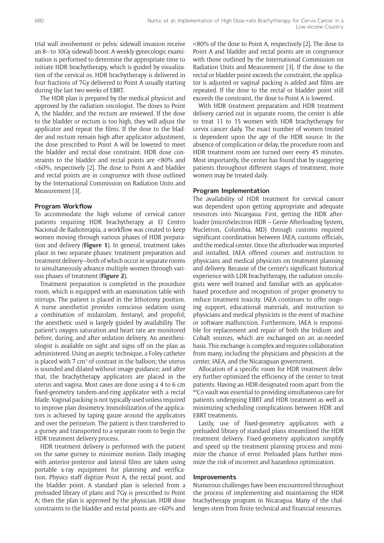trial wall involvement or pelvic sidewall invasion receive an 8– to 10Gy sidewall boost. A weekly gynecologic examination is performed to determine the appropriate time to initiate HDR brachytherapy, which is guided by visualization of the cervical os. HDR brachytherapy is delivered in four fractions of 7Gy delivered to Point A usually starting during the last two weeks of EBRT.

The HDR plan is prepared by the medical physicist and approved by the radiation oncologist. The doses to Point A, the bladder, and the rectum are reviewed. If the dose to the bladder or rectum is too high, they will adjust the applicator and repeat the films. If the dose to the bladder and rectum remain high after applicator adjustment, the dose prescribed to Point A will be lowered to meet the bladder and rectal dose constraint. HDR dose constraints to the bladder and rectal points are <80% and <60%, respectively [2]. The dose to Point A and bladder and rectal points are in congruence with those outlined by the International Commission on Radiation Units and Measurement [3].

# **Program Workflow**

To accommodate the high volume of cervical cancer patients requiring HDR brachytherapy at El Centro Nacional de Radioterapia, a workflow was created to keep women moving through various phases of HDR preparation and delivery (**Figure 1**). In general, treatment takes place in two separate phases: treatment preparation and treatment delivery—both of which occur in separate rooms to simultaneously advance multiple women through various phases of treatment (**Figure 2**).

Treatment preparation is completed in the procedure room, which is equipped with an examination table with stirrups. The patient is placed in the lithotomy position. A nurse anesthetist provides conscious sedation using a combination of midazolam, fentanyl, and propofol; the anesthetic used is largely guided by availability. The patient's oxygen saturation and heart rate are monitored before, during, and after sedation delivery. An anesthesiologist is available on sight and signs off on the plan as administered. Using an aseptic technique, a Foley catheter is placed with  $7 \text{ cm}^3$  of contrast in the balloon; the uterus is sounded and dilated without image guidance; and after that, the brachytherapy applicators are placed in the uterus and vagina. Most cases are done using a 4 to 6 cm fixed-geometry tandem-and-ring applicator with a rectal blade. Vaginal packing is not typically used unless required to improve plan dosimetry. Immobilization of the applicators is achieved by taping gauze around the applicators and over the perineum. The patient is then transferred to a gurney and transported to a separate room to begin the HDR treatment delivery process.

HDR treatment delivery is performed with the patient on the same gurney to minimize motion. Daily imaging with anterior-posterior and lateral films are taken using portable x-ray equipment for planning and verification. Physics staff digitize Point A, the rectal point, and the bladder point. A standard plan is selected from a preloaded library of plans and 7Gy is prescribed to Point A; then the plan is approved by the physician. HDR dose constraints to the bladder and rectal points are <60% and <80% of the dose to Point A, respectively [2]. The dose to Point A and bladder and rectal points are in congruence with those outlined by the International Commission on Radiation Units and Measurement [3]. If the dose to the rectal or bladder point exceeds the constraint, the applicator is adjusted or vaginal packing is added and films are repeated. If the dose to the rectal or bladder point still exceeds the constraint, the dose to Point A is lowered.

With HDR treatment preparation and HDR treatment delivery carried out in separate rooms, the center is able to treat 11 to 15 women with HDR brachytherapy for cervix cancer daily. The exact number of women treated is dependent upon the age of the HDR source. In the absence of complication or delay, the procedure room and HDR treatment room are turned over every 45 minutes. Most importantly, the center has found that by staggering patients throughout different stages of treatment, more women may be treated daily.

#### **Program Implementation**

The availability of HDR treatment for cervical cancer was dependent upon getting appropriate and adequate resources into Nicargaua. First, getting the HDR afterloader (microSelectron HDR – Genie Afterloading System, Nucletron, Columbia, MD) through customs required significant coordination between IAEA, customs officials, and the medical center. Once the afterloader was imported and installed, IAEA offered courses and instruction to physicians and medical physicists on treatment planning and delivery. Because of the center's significant historical experience with LDR brachytherapy, the radiation oncologists were well-trained and familiar with an applicatorbased procedure and recognition of proper geometry to reduce treatment toxicity. IAEA continues to offer ongoing support, educational materials, and instruction to physicians and medical physicists in the event of machine or software malfunction. Furthermore, IAEA is responsible for replacement and repair of both the Iridium and Cobalt sources, which are exchanged on an as-needed basis. This exchange is complex and requires collaboration from many, including the physicians and physicists at the center, IAEA, and the Nicaraguan government.

Allocation of a specific room for HDR treatment delivery further optimized the efficiency of the center to treat patients. Having an HDR-designated room apart from the 60Co vault was essential to providing simultaneous care for patients undergoing EBRT and HDR treatment as well as minimizing scheduling complications between HDR and EBRT treatments.

Lastly, use of fixed-geometry applicators with a preloaded library of standard plans streamlined the HDR treatment delivery. Fixed-geometry applicators simplify and speed up the treatment planning process and minimize the chance of error. Preloaded plans further minimize the risk of incorrect and hazardous optimization.

#### **Improvements**

Numerous challenges have been encountered throughout the process of implementing and maintaining the HDR brachytherapy program in Nicaragua. Many of the challenges stem from finite technical and financial resources.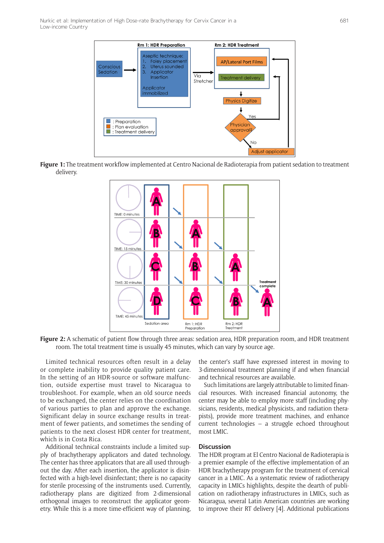Nurkic et al: Implementation of High Dose-rate Brachytherapy for Cervix Cancer in a Low-income Country



**Figure 1:** The treatment workflow implemented at Centro Nacional de Radioterapia from patient sedation to treatment delivery.



**Figure 2:** A schematic of patient flow through three areas: sedation area, HDR preparation room, and HDR treatment room. The total treatment time is usually 45 minutes, which can vary by source age.

Limited technical resources often result in a delay or complete inability to provide quality patient care. In the setting of an HDR-source or software malfunction, outside expertise must travel to Nicaragua to troubleshoot. For example, when an old source needs to be exchanged, the center relies on the coordination of various parties to plan and approve the exchange. Significant delay in source exchange results in treatment of fewer patients, and sometimes the sending of patients to the next closest HDR center for treatment, which is in Costa Rica.

Additional technical constraints include a limited supply of brachytherapy applicators and dated technology. The center has three applicators that are all used throughout the day. After each insertion, the applicator is disinfected with a high-level disinfectant; there is no capacity for sterile processing of the instruments used. Currently, radiotherapy plans are digitized from 2-dimensional orthogonal images to reconstruct the applicator geometry. While this is a more time-efficient way of planning,

the center's staff have expressed interest in moving to 3-dimensional treatment planning if and when financial and technical resources are available.

Such limitations are largely attributable to limited financial resources. With increased financial autonomy, the center may be able to employ more staff (including physicians, residents, medical physicists, and radiation therapists), provide more treatment machines, and enhance current technologies – a struggle echoed throughout most LMIC.

#### **Discussion**

The HDR program at El Centro Nacional de Radioterapia is a premier example of the effective implementation of an HDR brachytherapy program for the treatment of cervical cancer in a LMIC. As a systematic review of radiotherapy capacity in LMICs highlights, despite the dearth of publication on radiotherapy infrastructures in LMICs, such as Nicaragua, several Latin American countries are working to improve their RT delivery [4]. Additional publications